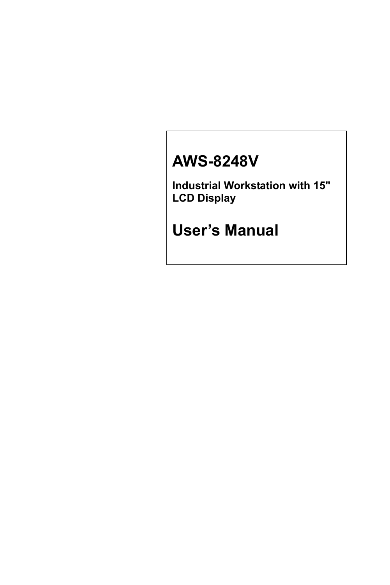# **AWS-8248V**

**Industrial Workstation with 15" LCD Display**

**User's Manual**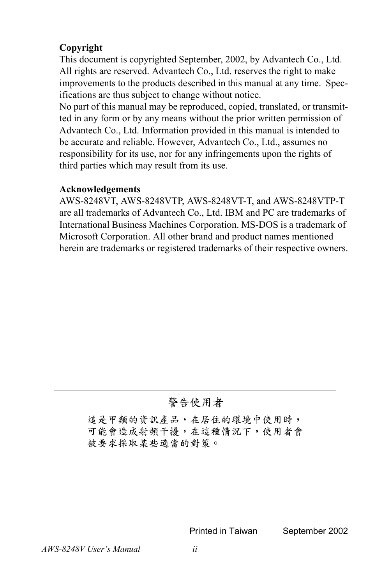### **Copyright**

This document is copyrighted September, 2002, by Advantech Co., Ltd. All rights are reserved. Advantech Co., Ltd. reserves the right to make improvements to the products described in this manual at any time. Specifications are thus subject to change without notice.

No part of this manual may be reproduced, copied, translated, or transmitted in any form or by any means without the prior written permission of Advantech Co., Ltd. Information provided in this manual is intended to be accurate and reliable. However, Advantech Co., Ltd., assumes no responsibility for its use, nor for any infringements upon the rights of third parties which may result from its use.

#### **Acknowledgements**

AWS-8248VT, AWS-8248VTP, AWS-8248VT-T, and AWS-8248VTP-T are all trademarks of Advantech Co., Ltd. IBM and PC are trademarks of International Business Machines Corporation. MS-DOS is a trademark of Microsoft Corporation. All other brand and product names mentioned herein are trademarks or registered trademarks of their respective owners.

### 警告使用者

這是甲類的資訊產品,在居住的環境中使用時, 可能會造成射頻干擾,在這種情況下,使用者會 被要求採取某些適當的對策。

Printed in Taiwan September 2002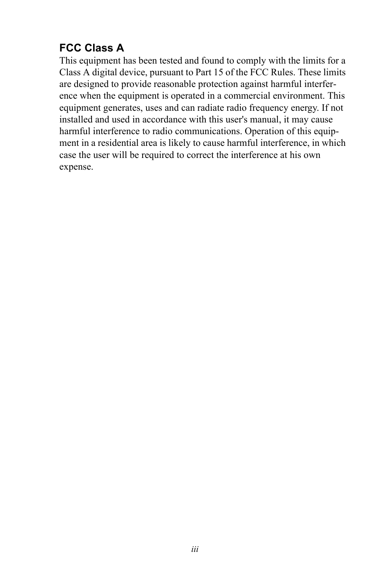### **FCC Class A**

This equipment has been tested and found to comply with the limits for a Class A digital device, pursuant to Part 15 of the FCC Rules. These limits are designed to provide reasonable protection against harmful interference when the equipment is operated in a commercial environment. This equipment generates, uses and can radiate radio frequency energy. If not installed and used in accordance with this user's manual, it may cause harmful interference to radio communications. Operation of this equipment in a residential area is likely to cause harmful interference, in which case the user will be required to correct the interference at his own expense.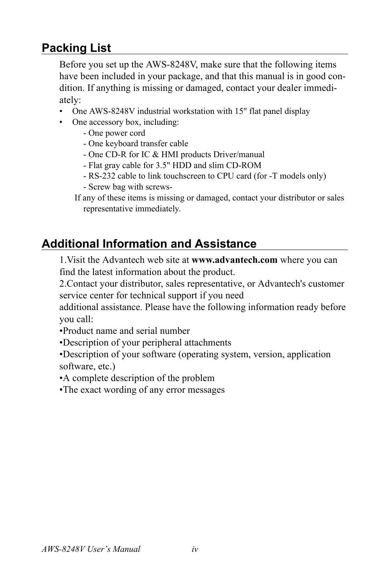### **Packing List**

Before you set up the AWS-8248V, make sure that the following items have been included in your package, and that this manual is in good condition. If anything is missing or damaged, contact your dealer immediately:

- One AWS-8248V industrial workstation with 15" flat panel display
- One accessory box, including:
	- One power cord
	- One keyboard transfer cable
	- One CD-R for IC & HMI products Driver/manual
	- Flat gray cable for 3.5" HDD and slim CD-ROM
	- RS-232 cable to link touchscreen to CPU card (for -T models only)
	- Screw bag with screws-
	- If any of these items is missing or damaged, contact your distributor or sales representative immediately.

### **Additional Information and Assistance**

1.Visit the Advantech web site at **[www.advantech.com](http://www.advantech.com)** where you can find the latest information about the product.

2.Contact your distributor, sales representative, or Advantech's customer service center for technical support if you need

additional assistance. Please have the following information ready before you call:

- •Product name and serial number
- •Description of your peripheral attachments

•Description of your software (operating system, version, application software, etc.)

•A complete description of the problem

•The exact wording of any error messages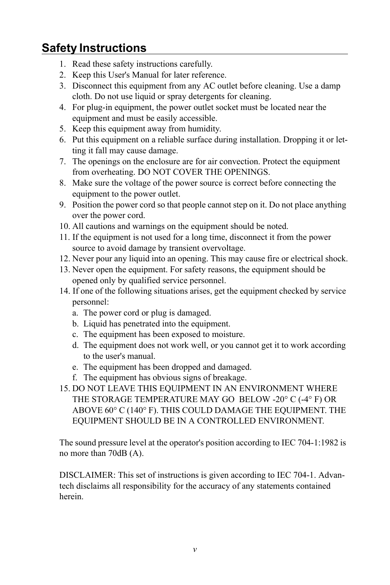### **Safety Instructions**

- 1. Read these safety instructions carefully.
- 2. Keep this User's Manual for later reference.
- 3. Disconnect this equipment from any AC outlet before cleaning. Use a damp cloth. Do not use liquid or spray detergents for cleaning.
- 4. For plug-in equipment, the power outlet socket must be located near the equipment and must be easily accessible.
- 5. Keep this equipment away from humidity.
- 6. Put this equipment on a reliable surface during installation. Dropping it or letting it fall may cause damage.
- 7. The openings on the enclosure are for air convection. Protect the equipment from overheating. DO NOT COVER THE OPENINGS.
- 8. Make sure the voltage of the power source is correct before connecting the equipment to the power outlet.
- 9. Position the power cord so that people cannot step on it. Do not place anything over the power cord.
- 10. All cautions and warnings on the equipment should be noted.
- 11. If the equipment is not used for a long time, disconnect it from the power source to avoid damage by transient overvoltage.
- 12. Never pour any liquid into an opening. This may cause fire or electrical shock.
- 13. Never open the equipment. For safety reasons, the equipment should be opened only by qualified service personnel.
- 14. If one of the following situations arises, get the equipment checked by service personnel:
	- a. The power cord or plug is damaged.
	- b. Liquid has penetrated into the equipment.
	- c. The equipment has been exposed to moisture.
	- d. The equipment does not work well, or you cannot get it to work according to the user's manual.
	- e. The equipment has been dropped and damaged.
	- f. The equipment has obvious signs of breakage.
- 15. DO NOT LEAVE THIS EQUIPMENT IN AN ENVIRONMENT WHERE THE STORAGE TEMPERATURE MAY GO BELOW -20° C (-4° F) OR ABOVE 60° C (140° F). THIS COULD DAMAGE THE EQUIPMENT. THE EQUIPMENT SHOULD BE IN A CONTROLLED ENVIRONMENT.

The sound pressure level at the operator's position according to IEC 704-1:1982 is no more than 70dB (A).

DISCLAIMER: This set of instructions is given according to IEC 704-1. Advantech disclaims all responsibility for the accuracy of any statements contained herein.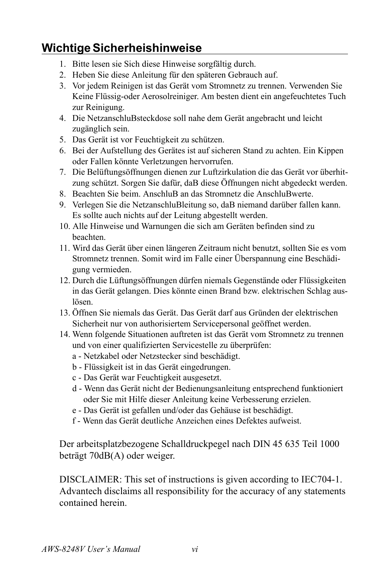### **Wichtige Sicherheishinweise**

- 1. Bitte lesen sie Sich diese Hinweise sorgfältig durch.
- 2. Heben Sie diese Anleitung für den späteren Gebrauch auf.
- 3. Vor jedem Reinigen ist das Gerät vom Stromnetz zu trennen. Verwenden Sie Keine Flüssig-oder Aerosolreiniger. Am besten dient ein angefeuchtetes Tuch zur Reinigung.
- 4. Die NetzanschluBsteckdose soll nahe dem Gerät angebracht und leicht zugänglich sein.
- 5. Das Gerät ist vor Feuchtigkeit zu schützen.
- 6. Bei der Aufstellung des Gerätes ist auf sicheren Stand zu achten. Ein Kippen oder Fallen könnte Verletzungen hervorrufen.
- 7. Die Belüftungsöffnungen dienen zur Luftzirkulation die das Gerät vor überhitzung schützt. Sorgen Sie dafür, daB diese Öffnungen nicht abgedeckt werden.
- 8. Beachten Sie beim. AnschluB an das Stromnetz die AnschluBwerte.
- 9. Verlegen Sie die NetzanschluBleitung so, daB niemand darüber fallen kann. Es sollte auch nichts auf der Leitung abgestellt werden.
- 10. Alle Hinweise und Warnungen die sich am Geräten befinden sind zu beachten.
- 11. Wird das Gerät über einen längeren Zeitraum nicht benutzt, sollten Sie es vom Stromnetz trennen. Somit wird im Falle einer Überspannung eine Beschädigung vermieden.
- 12. Durch die Lüftungsöffnungen dürfen niemals Gegenstände oder Flüssigkeiten in das Gerät gelangen. Dies könnte einen Brand bzw. elektrischen Schlag auslösen.
- 13. Öffnen Sie niemals das Gerät. Das Gerät darf aus Gründen der elektrischen Sicherheit nur von authorisiertem Servicepersonal geöffnet werden.
- 14. Wenn folgende Situationen auftreten ist das Gerät vom Stromnetz zu trennen und von einer qualifizierten Servicestelle zu überprüfen:
	- a Netzkabel oder Netzstecker sind beschädigt.
	- b Flüssigkeit ist in das Gerät eingedrungen.
	- c Das Gerät war Feuchtigkeit ausgesetzt.
	- d Wenn das Gerät nicht der Bedienungsanleitung entsprechend funktioniert oder Sie mit Hilfe dieser Anleitung keine Verbesserung erzielen.
	- e Das Gerät ist gefallen und/oder das Gehäuse ist beschädigt.
	- f Wenn das Gerät deutliche Anzeichen eines Defektes aufweist.

Der arbeitsplatzbezogene Schalldruckpegel nach DIN 45 635 Teil 1000 beträgt 70dB(A) oder weiger.

DISCLAIMER: This set of instructions is given according to IEC704-1. Advantech disclaims all responsibility for the accuracy of any statements contained herein.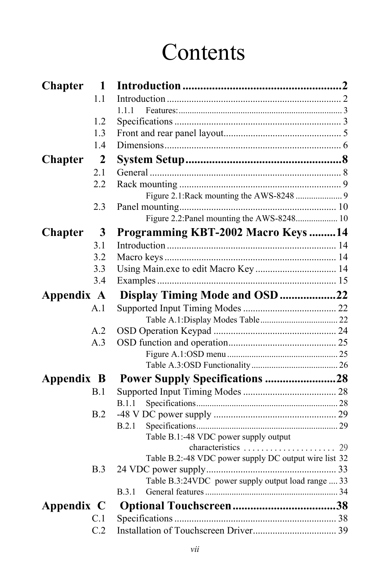# **Contents**

| <b>Chapter</b> | 1          |                                                       |  |
|----------------|------------|-------------------------------------------------------|--|
|                | 1.1        |                                                       |  |
|                |            | 1.1.1                                                 |  |
|                | 1.2        |                                                       |  |
|                | 1.3        |                                                       |  |
|                | 1.4        |                                                       |  |
| <b>Chapter</b> | 2          |                                                       |  |
|                | 2.1        |                                                       |  |
|                | 2.2        |                                                       |  |
|                |            |                                                       |  |
|                | 2.3        |                                                       |  |
|                |            |                                                       |  |
| <b>Chapter</b> | 3          | Programming KBT-2002 Macro Keys 14                    |  |
|                | 3.1        |                                                       |  |
|                | 3.2        |                                                       |  |
|                | 3.3        |                                                       |  |
|                | 3.4        |                                                       |  |
| Appendix A     |            | Display Timing Mode and OSD22                         |  |
|                | A.1        |                                                       |  |
|                |            |                                                       |  |
|                | A.2        |                                                       |  |
|                | A.3        |                                                       |  |
|                |            |                                                       |  |
|                |            |                                                       |  |
| Appendix B     |            | <b>Power Supply Specifications 28</b>                 |  |
|                | <b>B.1</b> |                                                       |  |
|                |            | B.1.1                                                 |  |
|                | B.2        |                                                       |  |
|                |            | B.2.1                                                 |  |
|                |            | Table B.1:-48 VDC power supply output                 |  |
|                |            |                                                       |  |
|                |            | Table B.2:-48 VDC power supply DC output wire list 32 |  |
|                | B.3        | Table B.3:24VDC power supply output load range  33    |  |
|                |            | <b>B.3.1</b>                                          |  |
| Appendix C     |            |                                                       |  |
|                |            |                                                       |  |
|                | C.1<br>C.2 |                                                       |  |
|                |            |                                                       |  |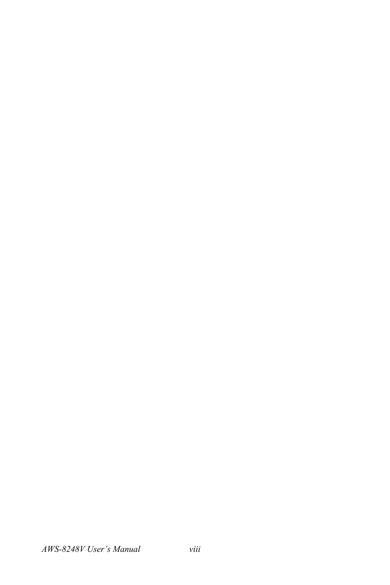*AWS-8248V User's Manual viii*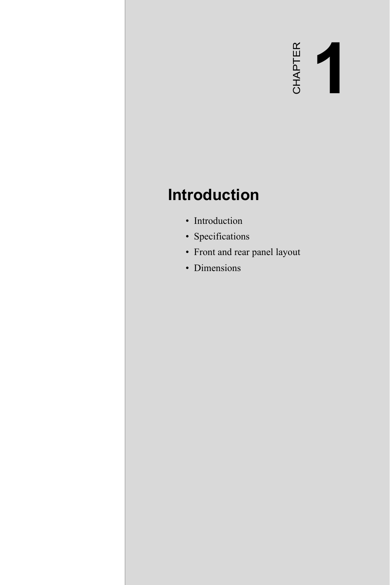# CHAPTER CHAPTER<br>
1

# **Introduction**

- Introduction
- Specifications
- Front and rear panel layout
- Dimensions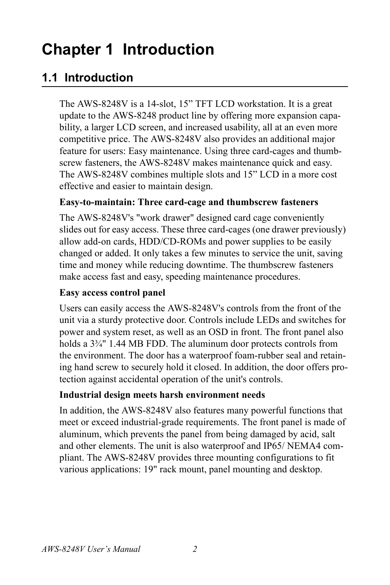# <span id="page-9-0"></span>**Chapter 1 Introduction**

### <span id="page-9-1"></span>**1.1 Introduction**

The AWS-8248V is a 14-slot, 15" TFT LCD workstation. It is a great update to the AWS-8248 product line by offering more expansion capability, a larger LCD screen, and increased usability, all at an even more competitive price. The AWS-8248V also provides an additional major feature for users: Easy maintenance. Using three card-cages and thumbscrew fasteners, the AWS-8248V makes maintenance quick and easy. The AWS-8248V combines multiple slots and 15" LCD in a more cost effective and easier to maintain design.

#### **Easy-to-maintain: Three card-cage and thumbscrew fasteners**

The AWS-8248V's "work drawer" designed card cage conveniently slides out for easy access. These three card-cages (one drawer previously) allow add-on cards, HDD/CD-ROMs and power supplies to be easily changed or added. It only takes a few minutes to service the unit, saving time and money while reducing downtime. The thumbscrew fasteners make access fast and easy, speeding maintenance procedures.

#### **Easy access control panel**

Users can easily access the AWS-8248V's controls from the front of the unit via a sturdy protective door. Controls include LEDs and switches for power and system reset, as well as an OSD in front. The front panel also holds a  $3\frac{3}{4}$ " 1.44 MB FDD. The aluminum door protects controls from the environment. The door has a waterproof foam-rubber seal and retaining hand screw to securely hold it closed. In addition, the door offers protection against accidental operation of the unit's controls.

#### **Industrial design meets harsh environment needs**

In addition, the AWS-8248V also features many powerful functions that meet or exceed industrial-grade requirements. The front panel is made of aluminum, which prevents the panel from being damaged by acid, salt and other elements. The unit is also waterproof and IP65/ NEMA4 compliant. The AWS-8248V provides three mounting configurations to fit various applications: 19" rack mount, panel mounting and desktop.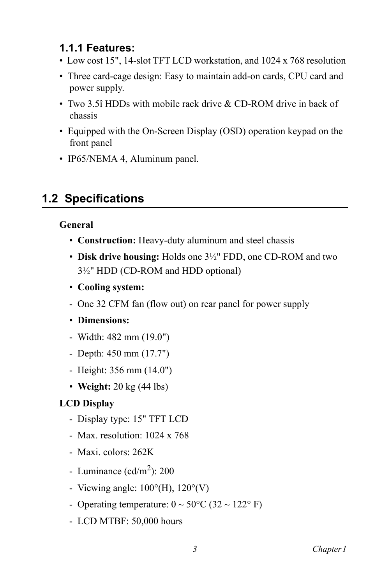### <span id="page-10-0"></span>**1.1.1 Features:**

- Low cost 15", 14-slot TFT LCD workstation, and 1024 x 768 resolution
- Three card-cage design: Easy to maintain add-on cards, CPU card and power supply.
- Two 3.5î HDDs with mobile rack drive & CD-ROM drive in back of chassis
- Equipped with the On-Screen Display (OSD) operation keypad on the front panel
- IP65/NEMA 4, Aluminum panel.

### <span id="page-10-1"></span>**1.2 Specifications**

### **General**

- **Construction:** Heavy-duty aluminum and steel chassis
- **Disk drive housing:** Holds one 3½" FDD, one CD-ROM and two 3½" HDD (CD-ROM and HDD optional)
- **Cooling system:**
- One 32 CFM fan (flow out) on rear panel for power supply
- **Dimensions:**
- Width: 482 mm (19.0")
- Depth: 450 mm (17.7")
- Height: 356 mm (14.0")
- **Weight:** 20 kg (44 lbs)

### **LCD Display**

- Display type: 15" TFT LCD
- Max. resolution: 1024 x 768
- Maxi. colors: 262K
- Luminance  $(cd/m^2)$ : 200
- Viewing angle:  $100^{\circ}$ (H),  $120^{\circ}$ (V)
- Operating temperature:  $0 \sim 50^{\circ}$ C (32  $\sim 122^{\circ}$  F)
- LCD MTBF: 50,000 hours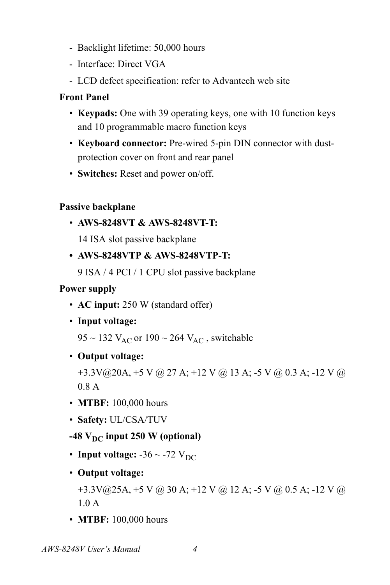- Backlight lifetime: 50,000 hours
- Interface: Direct VGA
- LCD defect specification: refer to Advantech web site

### **Front Panel**

- **Keypads:** One with 39 operating keys, one with 10 function keys and 10 programmable macro function keys
- **Keyboard connector:** Pre-wired 5-pin DIN connector with dustprotection cover on front and rear panel
- **Switches:** Reset and power on/off.

### **Passive backplane**

### • **AWS-8248VT & AWS-8248VT-T:**

14 ISA slot passive backplane

### **• AWS-8248VTP & AWS-8248VTP-T:**

9 ISA / 4 PCI / 1 CPU slot passive backplane

### **Power supply**

- **AC input:** 250 W (standard offer)
- **Input voltage:**

95 ~ 132  $V_{AC}$  or 190 ~ 264  $V_{AC}$ , switchable

### • **Output voltage:**

 $+3.3V(a)20A$ ,  $+5 V(a) 27 A$ ;  $+12 V(a) 13 A$ ;  $-5 V(a) 0.3 A$ ;  $-12 V(a)$ 0.8 A

- **MTBF:** 100,000 hours
- **Safety:** UL/CSA/TUV

### $-48$  V<sub>DC</sub> input 250 W (optional)

- **Input voltage:**  $-36 \sim -72$  V<sub>DC</sub>
- **Output voltage:**

 $+3.3V(25A, +5 V (2.30 A; +12 V (2.12 A; -5 V (2.015 A; -12 V (2.015 A; -12 V (2.015 A; -12 V (2.015 A; -12 V (2.015 A; -12 V (2.015 A; -12 V (2.015 A; -12 V (2.015 A; -12 V (2.015 A; -12 V (2.015 A; -12 V (2.015 A; -12 V (2.015 A; -12 V (2.015 A; -12 V (2.015 A; -12 V (2.015 A; -12 V (2.015$ 1.0 A

• **MTBF:** 100,000 hours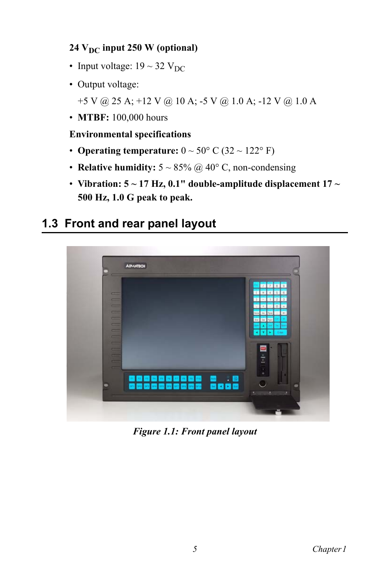### $24 V<sub>DC</sub>$  input 250 W (optional)

- Input voltage:  $19 \sim 32$  V<sub>DC</sub>
- Output voltage: +5 V @ 25 A; +12 V @ 10 A; -5 V @ 1.0 A; -12 V @ 1.0 A
- **MTBF:** 100,000 hours

#### **Environmental specifications**

- **Operating temperature:**  $0 \sim 50^{\circ}$  C (32  $\sim 122^{\circ}$  F)
- **Relative humidity:**  $5 \sim 85\%$  @ 40° C, non-condensing
- Vibration:  $5 \sim 17$  Hz, 0.1" double-amplitude displacement  $17 \sim$ **500 Hz, 1.0 G peak to peak.**

### <span id="page-12-0"></span>**1.3 Front and rear panel layout**



*Figure 1.1: Front panel layout*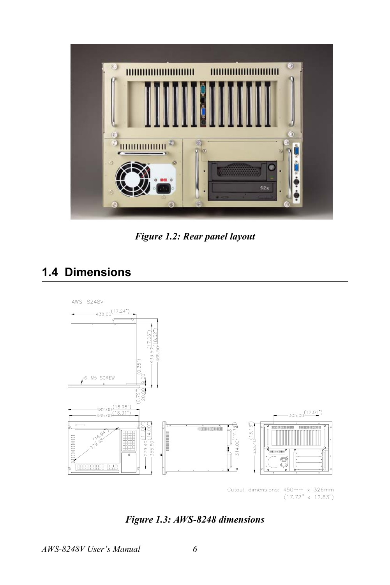

*Figure 1.2: Rear panel layout*

### <span id="page-13-0"></span>**1.4 Dimensions**



 $(17.72" \times 12.83")$ 

#### *Figure 1.3: AWS-8248 dimensions*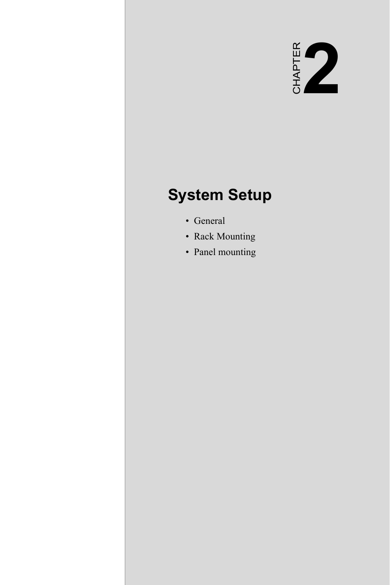

# **System Setup**

- General
- Rack Mounting
- Panel mounting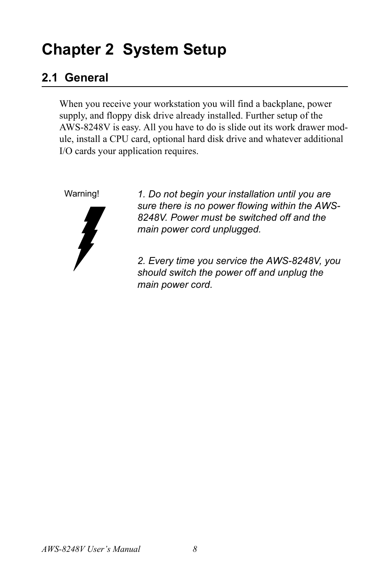# <span id="page-15-0"></span>**Chapter 2 System Setup**

### <span id="page-15-1"></span>**2.1 General**

When you receive your workstation you will find a backplane, power supply, and floppy disk drive already installed. Further setup of the AWS-8248V is easy. All you have to do is slide out its work drawer module, install a CPU card, optional hard disk drive and whatever additional I/O cards your application requires.



Warning! *1. Do not begin your installation until you are sure there is no power flowing within the AWS-8248V. Power must be switched off and the main power cord unplugged.*

> *2. Every time you service the AWS-8248V, you should switch the power off and unplug the main power cord.*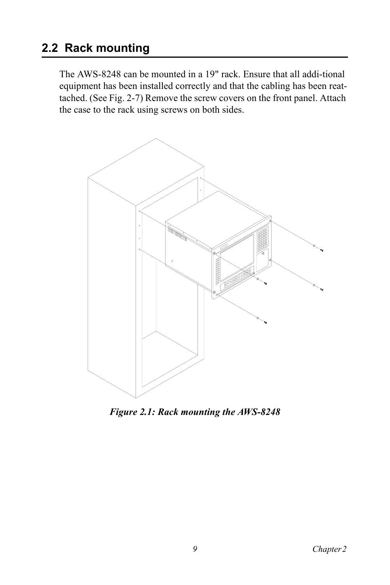### <span id="page-16-0"></span>**2.2 Rack mounting**

The AWS-8248 can be mounted in a 19" rack. Ensure that all addi-tional equipment has been installed correctly and that the cabling has been reattached. (See Fig. 2-7) Remove the screw covers on the front panel. Attach the case to the rack using screws on both sides.



<span id="page-16-1"></span>*Figure 2.1: Rack mounting the AWS-8248*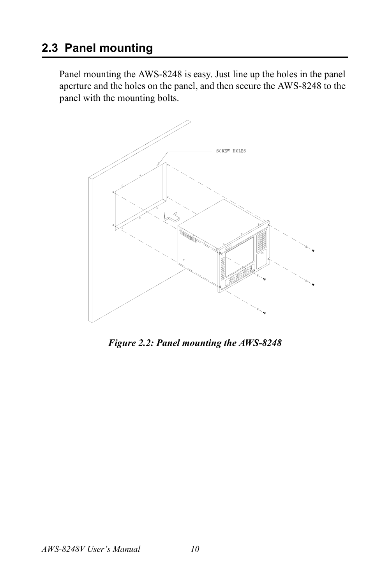### <span id="page-17-0"></span>**2.3 Panel mounting**

Panel mounting the AWS-8248 is easy. Just line up the holes in the panel aperture and the holes on the panel, and then secure the AWS-8248 to the panel with the mounting bolts.



<span id="page-17-1"></span>*Figure 2.2: Panel mounting the AWS-8248*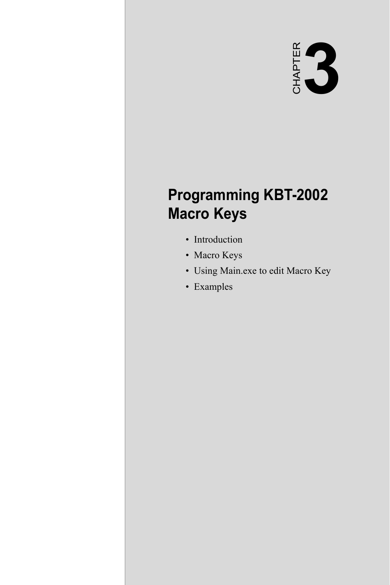

# **Programming KBT-2002 Macro Keys**

- Introduction
- Macro Keys
- Using Main.exe to edit Macro Key
- Examples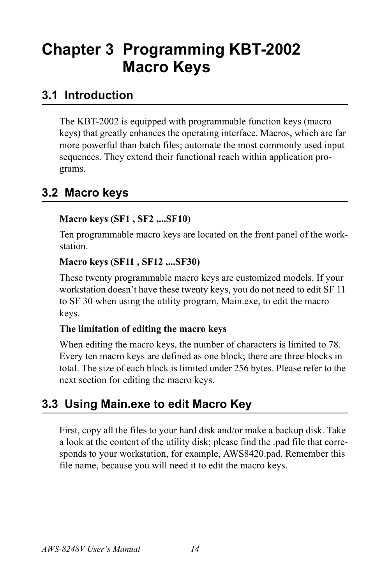# <span id="page-19-0"></span>**Chapter 3 Programming KBT-2002 Macro Keys**

### <span id="page-19-1"></span>**3.1 Introduction**

The KBT-2002 is equipped with programmable function keys (macro keys) that greatly enhances the operating interface. Macros, which are far more powerful than batch files; automate the most commonly used input sequences. They extend their functional reach within application programs.

### <span id="page-19-2"></span>**3.2 Macro keys**

#### **Macro keys (SF1 , SF2 ,...SF10)**

Ten programmable macro keys are located on the front panel of the workstation.

#### **Macro keys (SF11 , SF12 ,...SF30)**

These twenty programmable macro keys are customized models. If your workstation doesn't have these twenty keys, you do not need to edit SF 11 to SF 30 when using the utility program, Main.exe, to edit the macro keys.

#### **The limitation of editing the macro keys**

When editing the macro keys, the number of characters is limited to 78. Every ten macro keys are defined as one block; there are three blocks in total. The size of each block is limited under 256 bytes. Please refer to the next section for editing the macro keys.

### <span id="page-19-3"></span>**3.3 Using Main.exe to edit Macro Key**

First, copy all the files to your hard disk and/or make a backup disk. Take a look at the content of the utility disk; please find the .pad file that corresponds to your workstation, for example, AWS8420.pad. Remember this file name, because you will need it to edit the macro keys.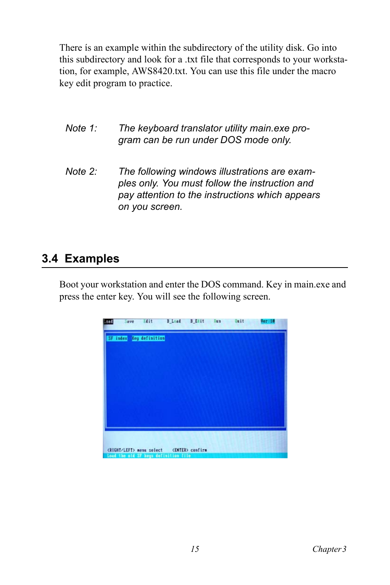There ís an example within the subdirectory of the utility disk. Go into this subdirectory and look for a .txt file that corresponds to your workstation, for example, AWS8420.txt. You can use this file under the macro key edit program to practice.

- *Note 1: The keyboard translator utility main.exe program can be run under DOS mode only.*
- *Note 2: The following windows illustrations are examples only. You must follow the instruction and pay attention to the instructions which appears on you screen.*

### <span id="page-20-0"></span>**3.4 Examples**

Boot your workstation and enter the DOS command. Key in main.exe and press the enter key. You will see the following screen.

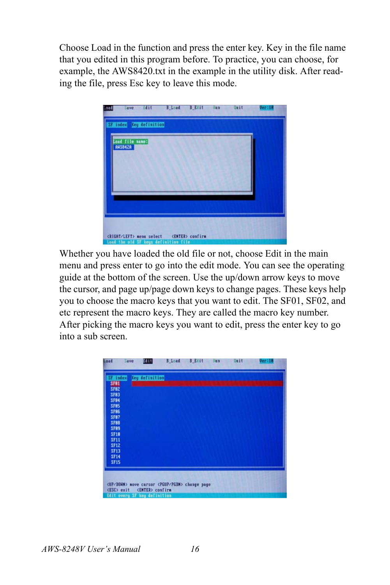Choose Load in the function and press the enter key. Key in the file name that you edited in this program before. To practice, you can choose, for example, the AWS8420.txt in the example in the utility disk. After reading the file, press Esc key to leave this mode.



Whether you have loaded the old file or not, choose Edit in the main menu and press enter to go into the edit mode. You can see the operating guide at the bottom of the screen. Use the up/down arrow keys to move the cursor, and page up/page down keys to change pages. These keys help you to choose the macro keys that you want to edit. The SF01, SF02, and etc represent the macro keys. They are called the macro key number. After picking the macro keys you want to edit, press the enter key to go into a sub screen.

| <b>SF</b> index                 | <b>Key definition</b> |  |  |  |
|---------------------------------|-----------------------|--|--|--|
| SF81                            |                       |  |  |  |
| SFB <sub>2</sub><br><b>SF83</b> |                       |  |  |  |
| <b>SFB4</b>                     |                       |  |  |  |
| <b>SF85</b>                     |                       |  |  |  |
| <b>SFB6</b>                     |                       |  |  |  |
| <b>SF87</b>                     |                       |  |  |  |
| <b>SF88</b>                     |                       |  |  |  |
| <b>SF89</b>                     |                       |  |  |  |
| <b>SF18</b>                     |                       |  |  |  |
| <b>SF11</b><br><b>SF12</b>      |                       |  |  |  |
| <b>SF13</b>                     |                       |  |  |  |
| <b>SF14</b>                     |                       |  |  |  |
| <b>SF15</b>                     |                       |  |  |  |
|                                 |                       |  |  |  |
|                                 |                       |  |  |  |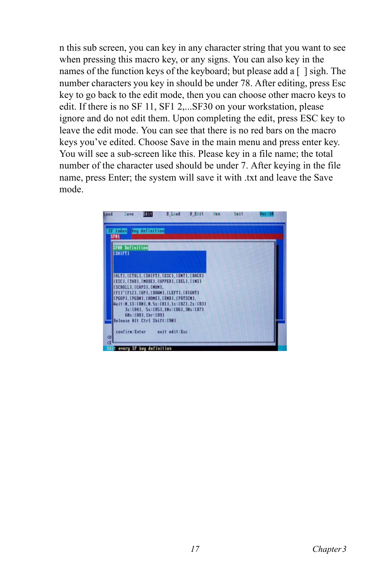n this sub screen, you can key in any character string that you want to see when pressing this macro key, or any signs. You can also key in the names of the function keys of the keyboard; but please add a  $\lceil \cdot \rceil$  sigh. The number characters you key in should be under 78. After editing, press Esc key to go back to the edit mode, then you can choose other macro keys to edit. If there is no SF 11, SF1 2,...SF30 on your workstation, please ignore and do not edit them. Upon completing the edit, press ESC key to leave the edit mode. You can see that there is no red bars on the macro keys you've edited. Choose Save in the main menu and press enter key. You will see a sub-screen like this. Please key in a file name; the total number of the character used should be under 7. After keying in the file name, press Enter; the system will save it with .txt and leave the Save mode.

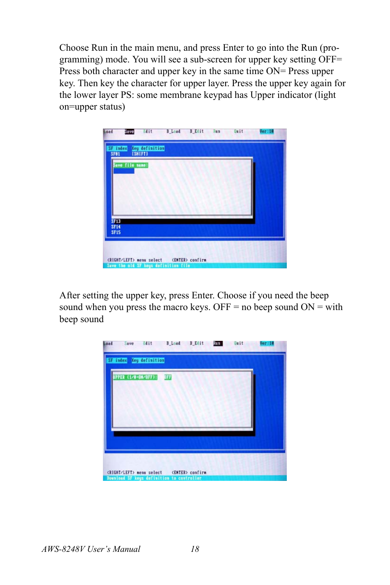Choose Run in the main menu, and press Enter to go into the Run (programming) mode. You will see a sub-screen for upper key setting OFF= Press both character and upper key in the same time ON= Press upper key. Then key the character for upper layer. Press the upper key again for the lower layer PS: some membrane keypad has Upper indicator (light on=upper status)



After setting the upper key, press Enter. Choose if you need the beep sound when you press the macro keys. OFF = no beep sound  $ON = with$ beep sound

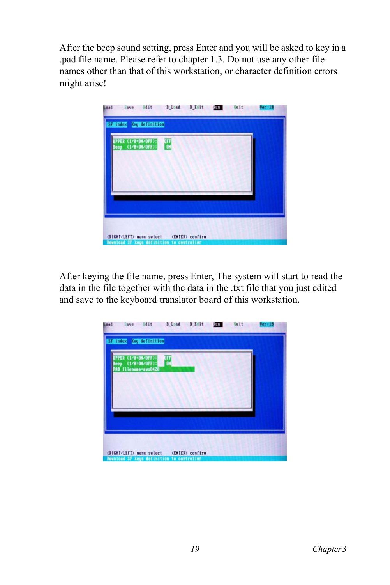After the beep sound setting, press Enter and you will be asked to key in a .pad file name. Please refer to chapter 1.3. Do not use any other file names other than that of this workstation, or character definition errors might arise!



After keying the file name, press Enter, The system will start to read the data in the file together with the data in the .txt file that you just edited and save to the keyboard translator board of this workstation.

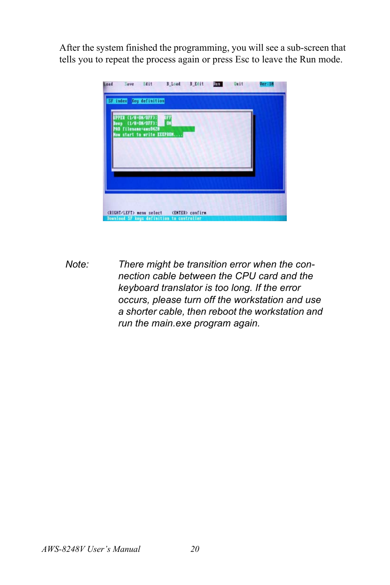After the system finished the programming, you will see a sub-screen that tells you to repeat the process again or press Esc to leave the Run mode.

| UPPER (1/8=ON/OTF): OUFF<br>Beep (1/8=DN/OFF): 0N         |  |  |  |
|-----------------------------------------------------------|--|--|--|
| PAU filename=aus8428<br><b>Mow start to write EEEPROM</b> |  |  |  |
|                                                           |  |  |  |
|                                                           |  |  |  |
|                                                           |  |  |  |

*Note: There might be transition error when the connection cable between the CPU card and the keyboard translator is too long. If the error occurs, please turn off the workstation and use a shorter cable, then reboot the workstation and run the main.exe program again.*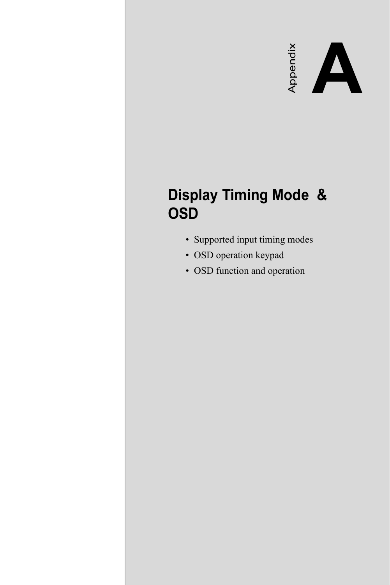

Appendix

# **Display Timing Mode & OSD**

- Supported input timing modes
- OSD operation keypad
- OSD function and operation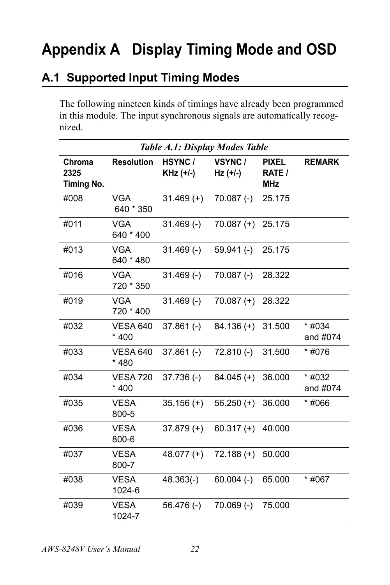# <span id="page-27-0"></span>**Appendix A Display Timing Mode and OSD**

### <span id="page-27-1"></span>**A.1 Supported Input Timing Modes**

The following nineteen kinds of timings have already been programmed in this module. The input synchronous signals are automatically recognized.

<span id="page-27-2"></span>

|                              | Table A.1: Display Modes Table |                      |                    |                                      |                      |  |
|------------------------------|--------------------------------|----------------------|--------------------|--------------------------------------|----------------------|--|
| Chroma<br>2325<br>Timing No. | <b>Resolution</b>              | HSYNC /<br>KHz (+/-) | VSYNC/<br>Hz (+/-) | <b>PIXEL</b><br>RATE /<br><b>MHz</b> | <b>REMARK</b>        |  |
| #008                         | VGA<br>640 * 350               | $31.469$ (+)         | $70.087(-)$        | 25.175                               |                      |  |
| #011                         | VGA<br>640 * 400               | $31.469(-)$          | $70.087 (+)$       | 25.175                               |                      |  |
| #013                         | <b>VGA</b><br>640 * 480        | $31.469(-)$          | $59.941(-)$        | 25.175                               |                      |  |
| #016                         | VGA<br>720 * 350               | $31.469(-)$          | $70.087(-)$        | 28.322                               |                      |  |
| #019                         | VGA<br>720 * 400               | $31.469(-)$          | $70.087 (+)$       | 28.322                               |                      |  |
| #032                         | <b>VESA 640</b><br>$*400$      | $37.861(-)$          | $84.136 (+)$       | 31.500                               | $*$ #034<br>and #074 |  |
| #033                         | <b>VESA 640</b><br>*480        | $37.861(-)$          | $72.810(-)$        | 31.500                               | * #076               |  |
| #034                         | <b>VESA 720</b><br>$*400$      | $37.736(-)$          | $84.045 (+)$       | 36.000                               | * #032<br>and #074   |  |
| #035                         | <b>VESA</b><br>800-5           | $35.156 (+)$         | $56.250 (+)$       | 36.000                               | * #066               |  |
| #036                         | <b>VESA</b><br>800-6           | $37.879 (+)$         | $60.317 (+)$       | 40.000                               |                      |  |
| #037                         | <b>VESA</b><br>800-7           | $48.077(+)$          | $72.188(+)$        | 50.000                               |                      |  |
| #038                         | <b>VESA</b><br>1024-6          | $48.363(-)$          | $60.004$ (-)       | 65.000                               | * #067               |  |
| #039                         | <b>VESA</b><br>1024-7          | $56.476(-)$          | $70.069(-)$        | 75.000                               |                      |  |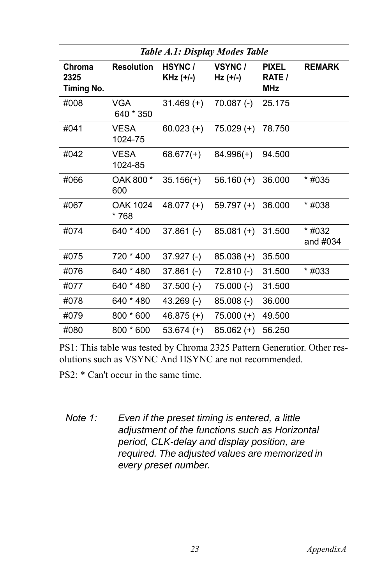| Table A.1: Display Modes Table |                        |                      |                      |                                      |                    |
|--------------------------------|------------------------|----------------------|----------------------|--------------------------------------|--------------------|
| Chroma<br>2325<br>Timing No.   | <b>Resolution</b>      | HSYNC /<br>KHz (+/-) | VSYNC/<br>$Hz (+/-)$ | <b>PIXEL</b><br>RATE /<br><b>MHz</b> | <b>REMARK</b>      |
| #008                           | VGA<br>640 * 350       | $31.469$ (+)         | $70.087$ (-)         | 25.175                               |                    |
| #041                           | VESA<br>1024-75        | $60.023$ (+)         | $75.029 (+)$         | 78.750                               |                    |
| #042                           | <b>VESA</b><br>1024-85 | $68.677(+)$          | $84.996(+)$          | 94.500                               |                    |
| #066                           | OAK 800 *<br>600       | $35.156(+)$          | $56.160 (+)$         | 36.000                               | * #035             |
| #067                           | OAK 1024<br>* 768      | $48.077 (+)$         | $59.797 (+)$         | 36.000                               | * #038             |
| #074                           | 640 * 400              | 37.861 (-)           | $85.081 (+)$         | 31.500                               | * #032<br>and #034 |
| #075                           | 720 * 400              | 37.927 (-)           | $85.038 (+)$         | 35.500                               |                    |
| #076                           | 640 * 480              | $37.861(-)$          | 72.810 (-)           | 31.500                               | * #033             |
| #077                           | 640 * 480              | $37.500(-)$          | $75.000(-)$          | 31.500                               |                    |
| #078                           | 640 * 480              | 43.269 (-)           | $85.008(-)$          | 36.000                               |                    |
| #079                           | 800 * 600              | 46.875 (+)           | $75.000 (+)$         | 49.500                               |                    |
| #080                           | 800 * 600              | $53.674$ (+)         | $85.062 (+)$         | 56.250                               |                    |

PS1: This table was tested by Chroma 2325 Pattern Generatior. Other resolutions such as VSYNC And HSYNC are not recommended.

PS2: \* Can't occur in the same time.

*Note 1:* Even if the preset timing is entered, a little adjustment of the functions such as Horizontal period, CLK-delay and display position, are required. The adjusted values are memorized in every preset number.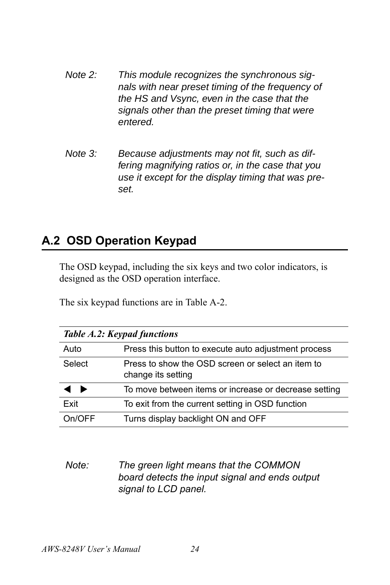- Note 2: This module recognizes the synchronous signals with near preset timing of the frequency of the HS and Vsync, even in the case that the signals other than the preset timing that were entered.
- Note 3: Because adjustments may not fit, such as differing magnifying ratios or, in the case that you use it except for the display timing that was preset.

### <span id="page-29-0"></span>**A.2 OSD Operation Keypad**

The OSD keypad, including the six keys and two color indicators, is designed as the OSD operation interface.

The six keypad functions are in Table A-2.

| <b>Table A.2: Keypad functions</b> |                                                                         |  |  |
|------------------------------------|-------------------------------------------------------------------------|--|--|
| Auto                               | Press this button to execute auto adjustment process                    |  |  |
| Select                             | Press to show the OSD screen or select an item to<br>change its setting |  |  |
|                                    | To move between items or increase or decrease setting                   |  |  |
| <b>Fxit</b>                        | To exit from the current setting in OSD function                        |  |  |
| On/OFF                             | Turns display backlight ON and OFF                                      |  |  |

*Note: The green light means that the COMMON board detects the input signal and ends output signal to LCD panel.*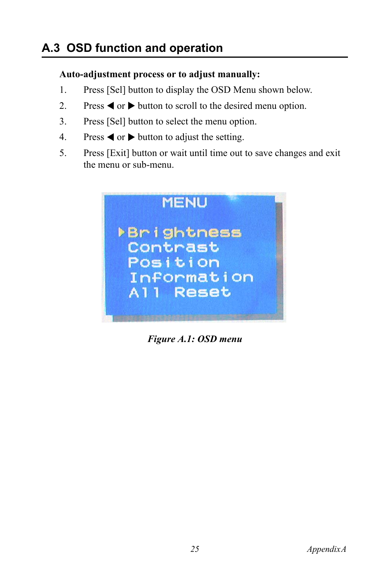### <span id="page-30-0"></span>**A.3 OSD function and operation**

#### **Auto-adjustment process or to adjust manually:**

- 1. Press [Sel] button to display the OSD Menu shown below.
- 2. Press  $\blacktriangleleft$  or  $\blacktriangleright$  button to scroll to the desired menu option.
- 3. Press [Sel] button to select the menu option.
- 4. Press  $\blacktriangleleft$  or  $\blacktriangleright$  button to adjust the setting.
- 5. Press [Exit] button or wait until time out to save changes and exit the menu or sub-menu.

<span id="page-30-1"></span>

*Figure A.1: OSD menu*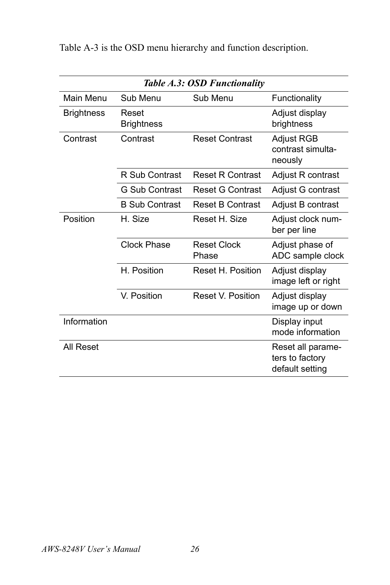<span id="page-31-0"></span>

| Table A.3: OSD Functionality |                            |                         |                                                         |  |  |
|------------------------------|----------------------------|-------------------------|---------------------------------------------------------|--|--|
| Main Menu                    | Sub Menu                   | Sub Menu                | Functionality                                           |  |  |
| <b>Brightness</b>            | Reset<br><b>Brightness</b> |                         | Adjust display<br>brightness                            |  |  |
| Contrast                     | Contrast                   | <b>Reset Contrast</b>   | <b>Adjust RGB</b><br>contrast simulta-<br>neously       |  |  |
|                              | R Sub Contrast             | <b>Reset R Contrast</b> | Adjust R contrast                                       |  |  |
|                              | G Sub Contrast             | <b>Reset G Contrast</b> | Adjust G contrast                                       |  |  |
|                              | <b>B</b> Sub Contrast      | <b>Reset B Contrast</b> | Adjust B contrast                                       |  |  |
| Position                     | H. Size                    | Reset H. Size           | Adjust clock num-<br>ber per line                       |  |  |
|                              | Clock Phase                | Reset Clock<br>Phase    | Adjust phase of<br>ADC sample clock                     |  |  |
|                              | H. Position                | Reset H. Position       | Adjust display<br>image left or right                   |  |  |
|                              | V. Position                | Reset V. Position       | Adjust display<br>image up or down                      |  |  |
| Information                  |                            |                         | Display input<br>mode information                       |  |  |
| All Reset                    |                            |                         | Reset all parame-<br>ters to factory<br>default setting |  |  |

Table A-3 is the OSD menu hierarchy and function description.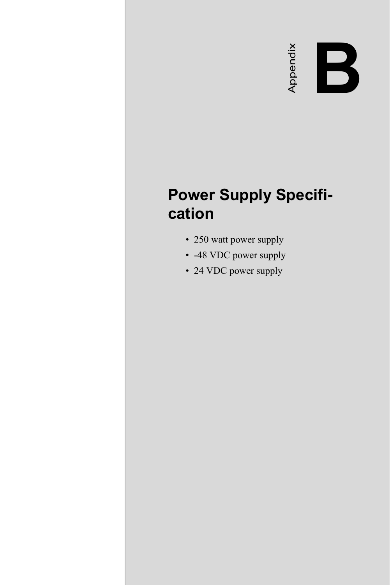**B**

Appendix

Appendix

# **Power Supply Specification**

- 250 watt power supply
- -48 VDC power supply
- 24 VDC power supply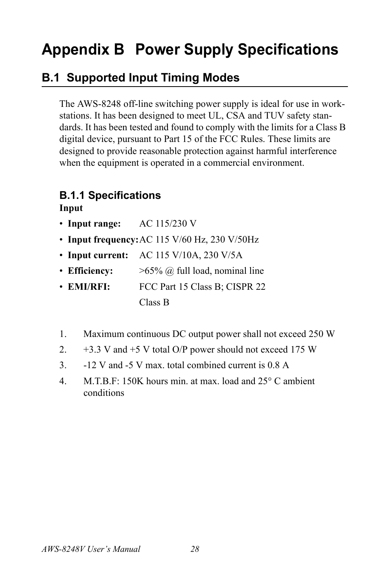# <span id="page-33-0"></span>**Appendix B Power Supply Specifications**

### <span id="page-33-1"></span>**B.1 Supported Input Timing Modes**

The AWS-8248 off-line switching power supply is ideal for use in workstations. It has been designed to meet UL, CSA and TUV safety standards. It has been tested and found to comply with the limits for a Class B digital device, pursuant to Part 15 of the FCC Rules. These limits are designed to provide reasonable protection against harmful interference when the equipment is operated in a commercial environment.

### <span id="page-33-2"></span>**B.1.1 Specifications**

**Input**

- **Input range:** AC 115/230 V
- **Input frequency:**AC 115 V/60 Hz, 230 V/50Hz
- **Input current:** AC 115 V/10A, 230 V/5A
- **Efficiency:**  $>65\%$  (*a*) full load, nominal line
- **EMI/RFI:** FCC Part 15 Class B; CISPR 22

Class B

- 1. Maximum continuous DC output power shall not exceed 250 W
- 2.  $+3.3$  V and  $+5$  V total O/P power should not exceed 175 W
- 3. -12 V and -5 V max. total combined current is 0.8 A
- 4. M.T.B.F: 150K hours min. at max. load and 25° C ambient conditions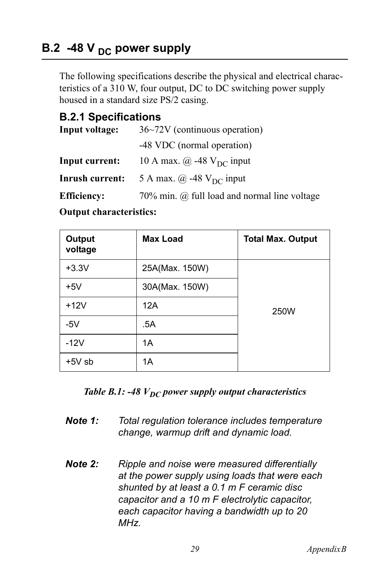### <span id="page-34-0"></span>**B.2 -48 V <sub>DC</sub> power supply**

The following specifications describe the physical and electrical characteristics of a 310 W, four output, DC to DC switching power supply housed in a standard size PS/2 casing.

### <span id="page-34-1"></span>**B.2.1 Specifications**

| Input voltage:     | $36~72V$ (continuous operation)                     |
|--------------------|-----------------------------------------------------|
|                    | -48 VDC (normal operation)                          |
| Input current:     | 10 A max. @ -48 $V_{DC}$ input                      |
| Inrush current:    | 5 A max. @ -48 $V_{DC}$ input                       |
| <b>Efficiency:</b> | 70% min. $\omega$ full load and normal line voltage |

#### **Output characteristics:**

| Output<br>voltage | <b>Max Load</b> | <b>Total Max. Output</b> |
|-------------------|-----------------|--------------------------|
| $+3.3V$           | 25A(Max. 150W)  |                          |
| $+5V$             | 30A(Max. 150W)  |                          |
| $+12V$            | 12A             | 250W                     |
| $-5V$             | .5A             |                          |
| $-12V$            | 1A              |                          |
| $+5V$ sb          | 1A              |                          |

<span id="page-34-2"></span>*Table B.1: -48*  $V_{DC}$  *power supply output characteristics* 

- *Note 1: Total regulation tolerance includes temperature change, warmup drift and dynamic load.*
- *Note 2: Ripple and noise were measured differentially at the power supply using loads that were each shunted by at least a 0.1 m F ceramic disc capacitor and a 10 m F electrolytic capacitor, each capacitor having a bandwidth up to 20 MHz.*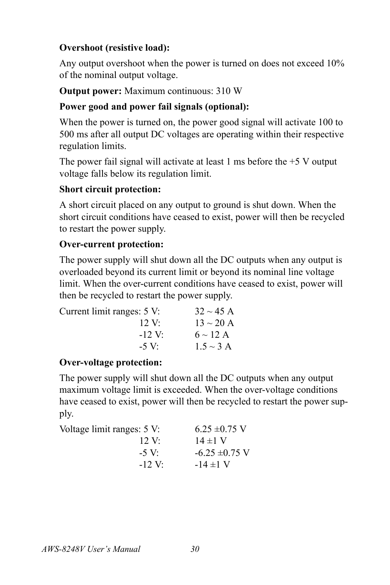### **Overshoot (resistive load):**

Any output overshoot when the power is turned on does not exceed 10% of the nominal output voltage.

#### **Output power:** Maximum continuous: 310 W

#### **Power good and power fail signals (optional):**

When the power is turned on, the power good signal will activate 100 to 500 ms after all output DC voltages are operating within their respective regulation limits.

The power fail signal will activate at least 1 ms before the  $+5$  V output voltage falls below its regulation limit.

#### **Short circuit protection:**

A short circuit placed on any output to ground is shut down. When the short circuit conditions have ceased to exist, power will then be recycled to restart the power supply.

#### **Over-current protection:**

The power supply will shut down all the DC outputs when any output is overloaded beyond its current limit or beyond its nominal line voltage limit. When the over-current conditions have ceased to exist, power will then be recycled to restart the power supply.

| Current limit ranges: 5 V: | $32 \sim 45 \text{ A}$ |
|----------------------------|------------------------|
| 12 V <sup>2</sup>          | $13 \sim 20$ A         |
| $-12$ V:                   | $6 \sim 12 \text{ A}$  |
| $-5V$                      | $1.5 \sim 3$ A         |

#### **Over-voltage protection:**

The power supply will shut down all the DC outputs when any output maximum voltage limit is exceeded. When the over-voltage conditions have ceased to exist, power will then be recycled to restart the power supply.

| Voltage limit ranges: 5 V: | $6.25 \pm 0.75$ V  |
|----------------------------|--------------------|
| $12 \text{ V}$             | $14 \pm 1$ V       |
| $-5V$                      | $-6.25 \pm 0.75$ V |
| $-12$ V:                   | $-14 \pm 1$ V      |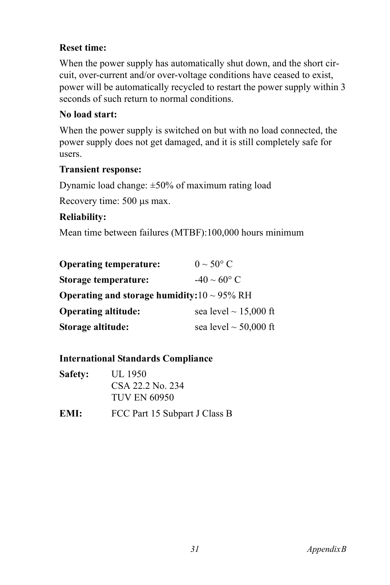### **Reset time:**

When the power supply has automatically shut down, and the short circuit, over-current and/or over-voltage conditions have ceased to exist, power will be automatically recycled to restart the power supply within 3 seconds of such return to normal conditions.

#### **No load start:**

When the power supply is switched on but with no load connected, the power supply does not get damaged, and it is still completely safe for users.

#### **Transient response:**

Dynamic load change: ±50% of maximum rating load

Recovery time: 500 µs max.

#### **Reliability:**

Mean time between failures (MTBF):100,000 hours minimum

| <b>Operating temperature:</b>                             | $0 \sim 50^{\circ}$ C      |
|-----------------------------------------------------------|----------------------------|
| Storage temperature:                                      | $-40 \sim 60^{\circ}$ C    |
| Operating and storage humidity: $10 \sim 95\% \text{ RH}$ |                            |
| <b>Operating altitude:</b>                                | sea level $\sim$ 15,000 ft |
| Storage altitude:                                         | sea level $\sim$ 50,000 ft |

#### **International Standards Compliance**

| <b>Safety:</b> | UL 1950                       |
|----------------|-------------------------------|
|                | CSA 22.2 No. 234              |
|                | <b>TUV EN 60950</b>           |
| EMI:           | FCC Part 15 Subpart J Class B |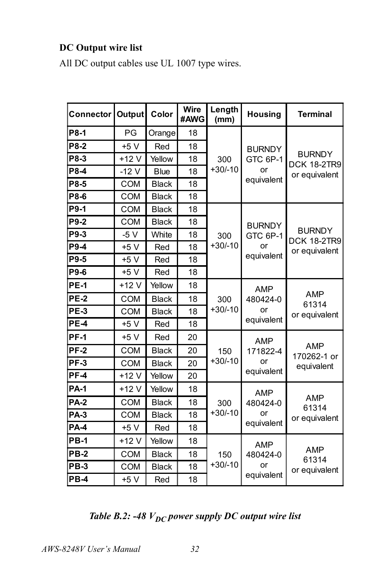### **DC Output wire list**

All DC output cables use UL 1007 type wires.

| <b>Connector</b> | <b>Output</b> | Color        | Wire<br>#AWG | Length<br>(mm)   | <b>Housing</b>                                      | <b>Terminal</b>                                      |
|------------------|---------------|--------------|--------------|------------------|-----------------------------------------------------|------------------------------------------------------|
| P8-1             | PG            | Orange       | 18           | 300<br>$+30/-10$ | <b>BURNDY</b><br>GTC 6P-1<br>or<br>equivalent       | <b>BURNDY</b><br><b>DCK 18-2TR9</b><br>or equivalent |
| P8-2             | $+5V$         | Red          | 18           |                  |                                                     |                                                      |
| P8-3             | $+12V$        | Yellow       | 18           |                  |                                                     |                                                      |
| P8-4             | $-12V$        | <b>Blue</b>  | 18           |                  |                                                     |                                                      |
| P8-5             | COM           | <b>Black</b> | 18           |                  |                                                     |                                                      |
| P8-6             | <b>COM</b>    | <b>Black</b> | 18           |                  |                                                     |                                                      |
| P9-1             | <b>COM</b>    | <b>Black</b> | 18           |                  | <b>BURNDY</b><br>GTC 6P-1<br>or<br>equivalent       | <b>BURNDY</b><br><b>DCK 18-2TR9</b><br>or equivalent |
| P9-2             | <b>COM</b>    | <b>Black</b> | 18           |                  |                                                     |                                                      |
| P9-3             | $-5V$         | White        | 18           | 300<br>$+30/10$  |                                                     |                                                      |
| P9-4             | $+5V$         | Red          | 18           |                  |                                                     |                                                      |
| P9-5             | $+5V$         | Red          | 18           |                  |                                                     |                                                      |
| P9-6             | $+5V$         | Red          | 18           |                  |                                                     |                                                      |
| <b>PE-1</b>      | $+12V$        | Yellow       | 18           |                  | AMP<br>480424-0<br>or<br>equivalent                 | AMP<br>61314<br>or equivalent                        |
| <b>PE-2</b>      | <b>COM</b>    | <b>Black</b> | 18           | 300<br>$+30/-10$ |                                                     |                                                      |
| <b>PE-3</b>      | COM           | <b>Black</b> | 18           |                  |                                                     |                                                      |
| <b>PE-4</b>      | $+5V$         | Red          | 18           |                  |                                                     |                                                      |
| <b>PF-1</b>      | $+5V$         | Red          | 20           |                  | AMP<br>171822-4<br>or<br>equivalent                 | <b>AMP</b><br>170262-1 or<br>equivalent              |
| <b>PF-2</b>      | <b>COM</b>    | <b>Black</b> | 20           | 150              |                                                     |                                                      |
| PF-3             | <b>COM</b>    | <b>Black</b> | 20           | $+30/-10$        |                                                     |                                                      |
| PF-4             | $+12V$        | Yellow       | 20           |                  |                                                     |                                                      |
| <b>PA-1</b>      | $+12V$        | Yellow       | 18           | 300<br>$+30/10$  | AMP<br>AMP<br>480424-0<br>61314<br>or<br>equivalent |                                                      |
| <b>PA-2</b>      | <b>COM</b>    | <b>Black</b> | 18           |                  |                                                     |                                                      |
| <b>PA-3</b>      | <b>COM</b>    | <b>Black</b> | 18           |                  |                                                     | or equivalent                                        |
| <b>PA-4</b>      | $+5V$         | Red          | 18           |                  |                                                     |                                                      |
| <b>PB-1</b>      | +12 V         | Yellow       | 18           |                  | <b>AMP</b><br>480424-0<br>or<br>equivalent          | AMP<br>61314<br>or equivalent                        |
| <b>PB-2</b>      | <b>COM</b>    | <b>Black</b> | 18           | 150              |                                                     |                                                      |
| <b>PB-3</b>      | <b>COM</b>    | <b>Black</b> | 18           | $+30/10$         |                                                     |                                                      |
| $PB-4$           | $+5V$         | Red          | 18           |                  |                                                     |                                                      |

<span id="page-37-0"></span>Table B.2: -48  $V_{DC}$  power supply DC output wire list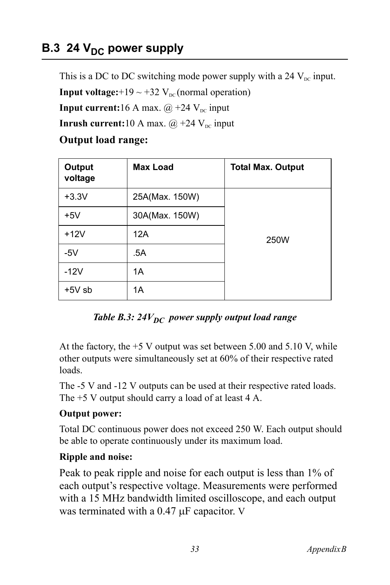### <span id="page-38-0"></span>**B.3 24 V<sub>DC</sub> power supply**

This is a DC to DC switching mode power supply with a 24  $V_{\text{DC}}$  input.

**Input voltage:** +19  $\sim$  +32  $V_{\text{DC}}$  (normal operation)

**Input current:**16 A max.  $\omega$  +24 V<sub>DC</sub> input

**Inrush current:**10 A max.  $\omega$  +24 V<sub>DC</sub> input

### **Output load range:**

| Output<br>voltage | <b>Max Load</b> | <b>Total Max. Output</b> |
|-------------------|-----------------|--------------------------|
| $+3.3V$           | 25A(Max. 150W)  |                          |
| $+5V$             | 30A(Max. 150W)  |                          |
| $+12V$            | 12A             | 250W                     |
| $-5V$             | .5A             |                          |
| $-12V$            | 1A              |                          |
| $+5V$ sb          | 1A              |                          |

### *Table B.3: 24V<sub>DC</sub> power supply output load range*

<span id="page-38-1"></span>At the factory, the  $+5$  V output was set between 5.00 and 5.10 V, while other outputs were simultaneously set at 60% of their respective rated loads.

The -5 V and -12 V outputs can be used at their respective rated loads. The +5 V output should carry a load of at least 4 A.

### **Output power:**

Total DC continuous power does not exceed 250 W. Each output should be able to operate continuously under its maximum load.

#### **Ripple and noise:**

Peak to peak ripple and noise for each output is less than 1% of each output's respective voltage. Measurements were performed with a 15 MHz bandwidth limited oscilloscope, and each output was terminated with a 0.47  $\mu$ F capacitor. V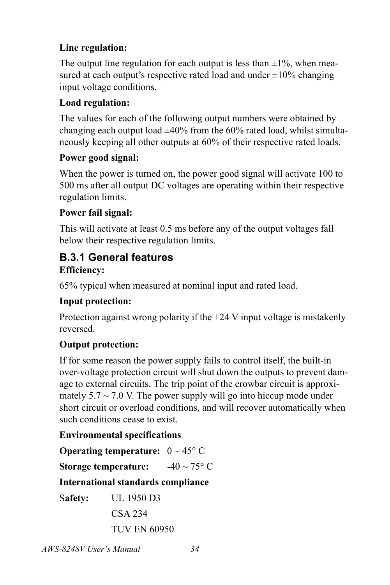### **Line regulation:**

The output line regulation for each output is less than  $\pm 1\%$ , when measured at each output's respective rated load and under  $\pm 10\%$  changing input voltage conditions.

### **Load regulation:**

The values for each of the following output numbers were obtained by changing each output load  $\pm 40\%$  from the 60% rated load, whilst simultaneously keeping all other outputs at 60% of their respective rated loads.

### **Power good signal:**

When the power is turned on, the power good signal will activate 100 to 500 ms after all output DC voltages are operating within their respective regulation limits.

### **Power fail signal:**

This will activate at least 0.5 ms before any of the output voltages fall below their respective regulation limits.

### <span id="page-39-0"></span>**B.3.1 General features**

#### **Efficiency:**

65% typical when measured at nominal input and rated load.

#### **Input protection:**

Protection against wrong polarity if the +24 V input voltage is mistakenly reversed.

### **Output protection:**

If for some reason the power supply fails to control itself, the built-in over-voltage protection circuit will shut down the outputs to prevent damage to external circuits. The trip point of the crowbar circuit is approximately  $5.7 \sim 7.0$  V. The power supply will go into hiccup mode under short circuit or overload conditions, and will recover automatically when such conditions cease to exist.

### **Environmental specifications**

**Operating temperature:**  $0 \sim 45^{\circ}$  C

**Storage temperature:** -40 ~ 75° C

**International standards compliance**

S**afety:** UL 1950 D3 CSA 234 TUV EN 60950

*AWS-8248V User's Manual 34*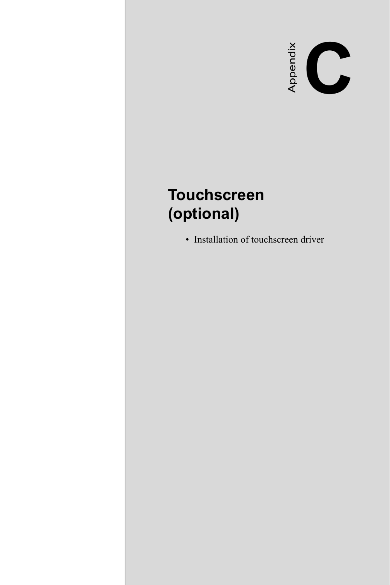

# **Touchscreen (optional)**

• Installation of touchscreen driver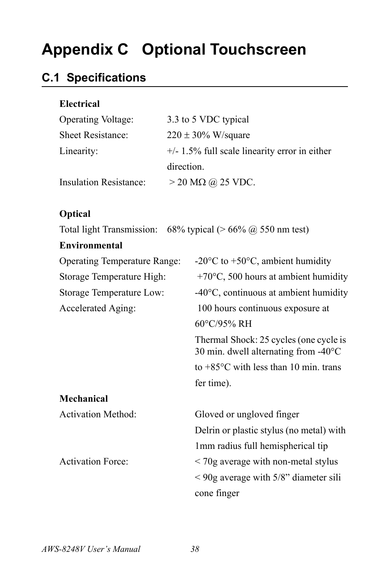# <span id="page-41-0"></span>**Appendix C Optional Touchscreen**

### <span id="page-41-1"></span>**C.1 Specifications**

#### **Electrical**

| <b>Operating Voltage:</b> | 3.3 to 5 VDC typical                             |
|---------------------------|--------------------------------------------------|
| Sheet Resistance:         | $220 \pm 30\%$ W/square                          |
| Linearity:                | $+/- 1.5\%$ full scale linearity error in either |
|                           | direction.                                       |
| Insulation Resistance:    | $>$ 20 MQ $@$ 25 VDC.                            |

### **Optical**

Total light Transmission:  $68\%$  typical (>  $66\%$  @ 550 nm test)

### **Environmental**

| <b>Operating Temperature Range:</b> | -20 $\rm{^{\circ}C}$ to +50 $\rm{^{\circ}C}$ , ambient humidity                          |
|-------------------------------------|------------------------------------------------------------------------------------------|
| Storage Temperature High:           | $+70^{\circ}$ C, 500 hours at ambient humidity                                           |
| Storage Temperature Low:            | $-40^{\circ}$ C, continuous at ambient humidity                                          |
| Accelerated Aging:                  | 100 hours continuous exposure at                                                         |
|                                     | $60^{\circ}$ C/95% RH                                                                    |
|                                     | Thermal Shock: 25 cycles (one cycle is<br>30 min. dwell alternating from $-40^{\circ}$ C |
|                                     | to $+85^{\circ}$ C with less than 10 min. trans                                          |
|                                     | fer time).                                                                               |
| Mechanical                          |                                                                                          |
| <b>Activation Method:</b>           | Gloved or ungloved finger                                                                |
|                                     | Delrin or plastic stylus (no metal) with                                                 |
|                                     | 1mm radius full hemispherical tip                                                        |
| Activation Force:                   | $\leq$ 70g average with non-metal stylus                                                 |
|                                     | $\leq$ 90g average with 5/8" diameter sili                                               |
|                                     | cone finger                                                                              |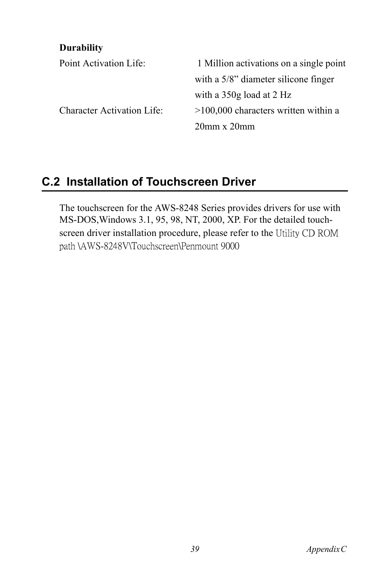**Durability** Point Activation Life: 1 Million activations on a single point with a 5/8" diameter silicone finger with a 350g load at 2 Hz Character Activation Life: >100,000 characters written within a 20mm x 20mm

### <span id="page-42-0"></span>**C.2 Installation of Touchscreen Driver**

The touchscreen for the AWS-8248 Series provides drivers for use with MS-DOS,Windows 3.1, 95, 98, NT, 2000, XP. For the detailed touchscreen driver installation procedure, please refer to the Utility CD ROM path \AWS-8248V\Touchscreen\Penmount 9000